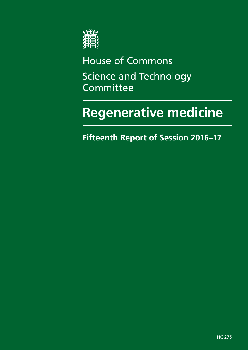

House of Commons Science and Technology Committee

# **Regenerative medicine**

**Fifteenth Report of Session 2016–17**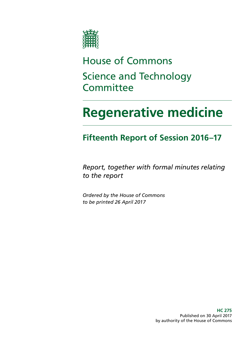

# House of Commons Science and Technology **Committee**

# **Regenerative medicine**

# **Fifteenth Report of Session 2016–17**

*Report, together with formal minutes relating to the report*

*Ordered by the House of Commons to be printed 26 April 2017*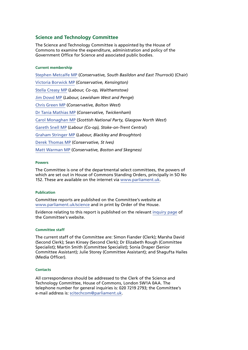#### **Science and Technology Committee**

The Science and Technology Committee is appointed by the House of Commons to examine the expenditure, administration and policy of the Government Office for Science and associated public bodies.

#### **Current membership**

[Stephen Metcalfe MP](http://www.parliament.uk/biographies/commons/stephen-metcalfe/4092) (*Conservative, South Basildon and East Thurrock*) (Chair) [Victoria Borwick MP](http://www.parliament.uk/biographies/commons/victoria-borwick/4502) (*Conservative, Kensington)* [Stella Creasy MP](http://www.parliament.uk/biographies/commons/stella-creasy/4088) (*Labour, Co-op, Walthamstow)* [Jim Dowd MP](http://www.parliament.uk/biographies/commons/jim-dowd/189) (*Labour, Lewisham West and Penge*) [Chris Green MP](http://www.parliament.uk/biographies/commons/chris-green/4398) (*Conservative, Bolton West*) [Dr Tania Mathias MP](http://www.parliament.uk/biographies/commons/dr-tania-mathias/4404) (*Conservative, Twickenham*) [Carol Monaghan MP](http://www.parliament.uk/biographies/commons/carol-monaghan/4443) (*Scottish National Party, Glasgow North West*) [Gareth Snell MP](http://www.parliament.uk/biographies/commons/gareth-snell/4595) (*Labour (Co-op), Stoke-on-Trent Central*) [Graham Stringer MP](http://www.parliament.uk/biographies/commons/graham-stringer/449) (*Labour, Blackley and Broughton*) [Derek Thomas MP](http://www.parliament.uk/biographies/commons/derek-thomas/4532) (*Conservative, St Ives)* [Matt Warman MP](http://www.parliament.uk/biographies/commons/matt-warman/4361) (*Conservative, Boston and Skegness)*

#### **Powers**

The Committee is one of the departmental select committees, the powers of which are set out in House of Commons Standing Orders, principally in SO No 152. These are available on the internet via [www.parliament.uk](http://www.parliament.uk).

#### **Publication**

Committee reports are published on the Committee's website at [www.parliament.uk/science](http://www.parliament.uk/science) and in print by Order of the House.

Evidence relating to this report is published on the relevant [inquiry page](http://www.parliament.uk/business/committees/committees-a-z/commons-select/science-and-technology-committee/inquiries/parliament-2015/regenerative-medicine-inquiry-15-16/) of the Committee's website.

#### **Committee staff**

The current staff of the Committee are: Simon Fiander (Clerk); Marsha David (Second Clerk); Sean Kinsey (Second Clerk); Dr Elizabeth Rough (Committee Specialist); Martin Smith (Committee Specialist); Sonia Draper (Senior Committee Assistant); Julie Storey (Committee Assistant); and Shagufta Hailes (Media Officer).

#### **Contacts**

All correspondence should be addressed to the Clerk of the Science and Technology Committee, House of Commons, London SW1A 0AA. The telephone number for general inquiries is: 020 7219 2793; the Committee's e-mail address is: [scitechcom@parliament.uk](mailto:scitechcom@parliament.uk).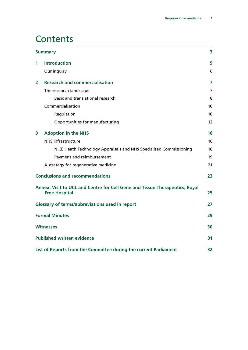### **Contents**

|              | <b>Summary</b>                                                                                      |                 |  |
|--------------|-----------------------------------------------------------------------------------------------------|-----------------|--|
| 1            | <b>Introduction</b>                                                                                 | 5               |  |
|              | Our inquiry                                                                                         | 6               |  |
| $\mathbf{2}$ | <b>Research and commercialisation</b>                                                               | $\overline{7}$  |  |
|              | The research landscape                                                                              | 7               |  |
|              | Basic and translational research                                                                    | 8               |  |
|              | Commercialisation                                                                                   | 10              |  |
|              | Regulation                                                                                          | 10 <sup>1</sup> |  |
|              | Opportunities for manufacturing                                                                     | 12              |  |
| 3            | <b>Adoption in the NHS</b>                                                                          | 16              |  |
|              | <b>NHS infrastructure</b>                                                                           | 16              |  |
|              | NICE Heath Technology Appraisals and NHS Specialised Commissioning                                  | 18              |  |
|              | Payment and reimbursement                                                                           | 19              |  |
|              | A strategy for regenerative medicine                                                                | 21              |  |
|              | <b>Conclusions and recommendations</b>                                                              | 23              |  |
|              | Annex: Visit to UCL and Centre for Cell Gene and Tissue Therapeutics, Royal<br><b>Free Hospital</b> | 25              |  |
|              | <b>Glossary of terms/abbreviations used in report</b>                                               | 27              |  |
|              | <b>Formal Minutes</b>                                                                               | 29              |  |
|              | <b>Witnesses</b>                                                                                    | 30              |  |
|              | <b>Published written evidence</b>                                                                   | 31              |  |
|              | List of Reports from the Committee during the current Parliament                                    | 32              |  |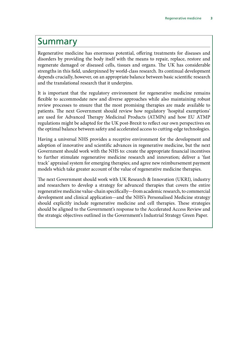### <span id="page-6-0"></span>Summary

Regenerative medicine has enormous potential, offering treatments for diseases and disorders by providing the body itself with the means to repair, replace, restore and regenerate damaged or diseased cells, tissues and organs. The UK has considerable strengths in this field, underpinned by world-class research. Its continual development depends crucially, however, on an appropriate balance between basic scientific research and the translational research that it underpins.

It is important that the regulatory environment for regenerative medicine remains flexible to accommodate new and diverse approaches while also maintaining robust review processes to ensure that the most promising therapies are made available to patients. The next Government should review how regulatory 'hospital exemptions' are used for Advanced Therapy Medicinal Products (ATMPs) and how EU ATMP regulations might be adapted for the UK post-Brexit to reflect our own perspectives on the optimal balance between safety and accelerated access to cutting-edge technologies.

Having a universal NHS provides a receptive environment for the development and adoption of innovative and scientific advances in regenerative medicine, but the next Government should work with the NHS to: create the appropriate financial incentives to further stimulate regenerative medicine research and innovation; deliver a 'fast track' appraisal system for emerging therapies; and agree new reimbursement payment models which take greater account of the value of regenerative medicine therapies.

The next Government should work with UK Research & Innovation (UKRI), industry and researchers to develop a strategy for advanced therapies that covers the entire regenerative medicine value-chain specifically—from academic research, to commercial development and clinical application—and the NHS's Personalised Medicine strategy should explicitly include regenerative medicine and cell therapies. These strategies should be aligned to the Government's response to the Accelerated Access Review and the strategic objectives outlined in the Government's Industrial Strategy Green Paper.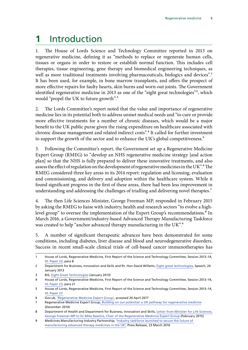# <span id="page-8-0"></span>**1** Introduction

1. The House of Lords Science and Technology Committee reported in 2013 on regenerative medicine, defining it as "methods to replace or regenerate human cells, tissues or organs in order to restore or establish normal function. This includes cell therapies, tissue engineering, gene therapy and biomedical engineering techniques, as well as more traditional treatments involving pharmaceuticals, biologics and devices".<sup>1</sup> It has been used, for example, in bone marrow transplants, and offers the prospect of more effective repairs for faulty hearts, skin burns and worn-out joints. The Government identified regenerative medicine in 2013 as one of the "eight great technologies"<sup>2</sup>, which would "propel the UK to future growth".<sup>3</sup>

2. The Lords Committee's report noted that the value and importance of regenerative medicine lies in its potential both to address unmet medical needs and "to cure or provide more effective treatments for a number of chronic diseases, which would be a major benefit to the UK public purse given the rising expenditure on healthcare associated with chronic disease management and related indirect costs".4 It called for further investment to support the growth of the sector and to enhance the UK's global competitiveness.<sup>5</sup>

3. Following the Committee's report, the Government set up a Regenerative Medicine Expert Group (RMEG) to "develop an NHS regenerative medicine strategy [and action plan] so that the NHS is fully prepared to deliver these innovative treatments, and also assess the effect of regulation on the development of regenerative medicines in the UK".<sup>6</sup> The RMEG considered three key areas in its 2014 report: regulation and licensing, evaluation and commissioning, and delivery and adoption within the healthcare system. While it found significant progress in the first of these areas, there had been less improvement in understanding and addressing the challenges of trialling and delivering novel therapies.<sup>7</sup>

4. The then Life Sciences Minister, George Freeman MP, responded in February 2015 by asking the RMEG to liaise with industry, health and research sectors "to evolve a highlevel group" to oversee the implementation of the Expert Group's recommendations.<sup>8</sup> In March 2016, a Government/industry-based Advanced Therapy Manufacturing Taskforce was created to help "anchor advanced therapy manufacturing in the UK".<sup>9</sup>

5. A number of significant therapeutic advances have been demonstrated for some conditions, including diabetes, liver disease and blood and neurodegenerative disorders. Success in recent small-scale clinical trials of cell-based cancer immunotherapies has

<sup>1</sup> House of Lords, Regenerative Medicine, First Report of the Science and Technology Committee, Session 2013–14, [HL Paper 23](https://www.publications.parliament.uk/pa/ld201314/ldselect/ldsctech/23/23.pdf), para 8

<sup>2</sup> Department for Business, Innovation and Skills and Rt. Hon David Willetts, [Eight great technologies,](https://www.gov.uk/government/speeches/eight-great-technologies) Speech, 24 January 2013

<sup>3</sup> BIS, [Eight Great Technologies](https://www.gov.uk/government/speeches/eight-great-technologies) (January 2013)

<sup>4</sup> House of Lords, Regenerative Medicine, First Report of the Science and Technology Committee, Session 2013–14, [HL Paper 23](https://www.publications.parliament.uk/pa/ld201314/ldselect/ldsctech/23/23.pdf), para 21

<sup>5</sup> House of Lords, Regenerative Medicine, First Report of the Science and Technology Committee, Session 2013–14, [HL Paper 23](https://www.publications.parliament.uk/pa/ld201314/ldselect/ldsctech/23/23.pdf)

<sup>6</sup> Gov.uk, ['Regenerative Medicine Expert Group',](https://www.gov.uk/government/groups/regenerative-medicine-expert-group) accessed 24 April 2017

<sup>7</sup> Regenerative Medicine Expert Group, *[Building on our potential: a UK pathway for regenerative medicine](https://www.gov.uk/government/uploads/system/uploads/attachment_data/file/415919/build-on-potential.pdf)* (December 2014)

<sup>8</sup> Department of Health and Department for Business, Innovation and Skills, [Letter from Minister for Life Sciences,](https://app.box.com/s/9vtqnxkqdxakov92hqe7mdsizgo1j9hc) [George Freeman MP to Sir Mike Rawlins, Chair of the Regenerative Medicine Expert Group](https://app.box.com/s/9vtqnxkqdxakov92hqe7mdsizgo1j9hc) (February 2015)

<sup>9</sup> Medicines Manufacturing Industry Partnership, 'Industry taskforce launched to secure the future of [manufacturing advanced therapy medicines in the UK](http://www.abpi.org.uk/media-centre/newsreleases/2016/Pages/230316.aspx)', Press Release, 23 March 2016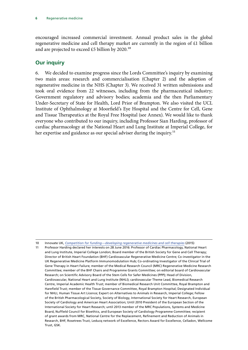<span id="page-9-0"></span>encouraged increased commercial investment. Annual product sales in the global regenerative medicine and cell therapy market are currently in the region of £1 billion and are projected to exceed £5 billion by 2020.<sup>10</sup>

### **Our inquiry**

6. We decided to examine progress since the Lords Committee's inquiry by examining two main areas: research and commercialisation (Chapter 2) and the adoption of regenerative medicine in the NHS (Chapter 3). We received 31 written submissions and took oral evidence from 22 witnesses, including from the pharmaceutical industry; Government regulatory and advisory bodies; academia and the then Parliamentary Under-Secretary of State for Health, Lord Prior of Brampton. We also visited the UCL Institute of Ophthalmology at Moorfield's Eye Hospital and the Centre for Cell, Gene and Tissue Therapeutics at the Royal Free Hospital (see Annex). We would like to thank everyone who contributed to our inquiry, including Professor Sian Harding, professor of cardiac pharmacology at the National Heart and Lung Institute at Imperial College, for her expertise and guidance as our special adviser during the inquiry.<sup>11</sup>

<sup>10</sup> Innovate UK, *[Competition for funding—developing regenerative medicines and cell therapies](https://connect.innovateuk.org/documents/1524978/1866952/Developing%20regenerative%20medicines%20and%20cell%20therapies%20-%20Competition%20Brief)* (2015)

<sup>11</sup> Professor Harding declared her interests on 28 June 2016: Professor of Cardiac Pharmacology, National Heart and Lung Institute, Imperial College London; Board member of the British Society for Gene and Cell Therapy; Director of British Heart Foundation (BHF) Cardiovascular Regenerative Medicine Centre; Co-investigator in the UK Regenerative Medicine Platform Immunomodulation Hub; Co-ordinating Investigator of the Clinical Trial of Gene Therapy in Heart Failure; member of the Medical Research Council (MRC) Regenerative Medicine Research Committee; member of the BHF Chairs and Programme Grants Committee; on editorial board of Cardiovascular Research; on Scientific Advisory Board of the Stem Cells for Safer Medicines (PPP); Head of Division, Cardiovascular, National Heart and Lung Institute (NHLI); cardiovascular Theme Lead, Biomedical Research Centre, Imperial Academic Health Trust; member of Biomedical Research Unit Committee, Royal Brampton and Harefield Trust; member of the Tissue Governance Committee, Royal Brampton Hospital; Designated Individual for NHLI, Human Tissue Art Licence; Expert on Alternatives to Animals in Research, Imperial College; Fellow of the British Pharmacological Society, Society of Biology, International Society for Heart Research, European Society of Cardiology and American Heart Association; Until 2010 President of the European Section of the International Society for Heart Research; until 2013 member of the MRC Populations, Systems and Medicine Board, Nuffield Council for Bioethics, and European Society of Cardiology Programme Committee; recipient of grant awards from MRC, National Centre for the Replacement, Refinement and Reduction of Animals in Research, BHF, Rosetrees Trust, Leducq network of Excellence, Rectors Award for Excellence, Celladon, Wellcome Trust, GSK.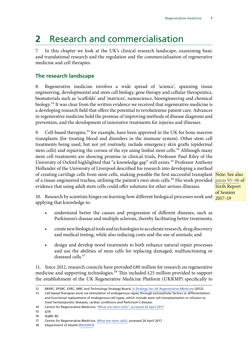# <span id="page-10-0"></span>**2** Research and commercialisation

7. In this chapter we look at the UK's clinical research landscape, examining basic and translational research and the regulation and the commercialisation of regenerative medicine and cell therapies.

### **The research landscape**

8. Regenerative medicine involves a wide spread of 'science', spanning tissue engineering, developmental and stem cell biology, gene therapy and cellular therapeutics, biomaterials such as 'scaffolds' and 'matrices', nanoscience, bioengineering and chemical biology.<sup>12</sup> It was clear from the written evidence we received that regenerative medicine is a developing research field that offers the potential to revolutionise patient care. Advances in regenerative medicine hold the promise of improving methods of disease diagnosis and prevention, and the development of innovative treatments for injuries and illnesses.

9. Cell-based therapies,<sup>13</sup> for example, have been approved in the UK for bone marrow transplants (for treating blood and disorders in the immune system). Other stem cell treatments being used, but not yet routinely, include emergency skin grafts (epidermal stem cells) and repairing the cornea of the eye using limbal stem cells.<sup>14</sup> Although many stem cell treatments are showing promise in clinical trials, Professor Paul Riley of the University of Oxford highlighted that "a knowledge gap" still exists.<sup>15</sup> Professor Anthony Hollander of the University of Liverpool described his research into developing a method of creating cartilage cells from stem cells, making possible the first successful transplant | <mark>Note: See also</mark> of a tissue-engineered trachea, utilising the patient's own stem cells.<sup>16</sup> His work provided <mark>[paras 95–96](https://publications.parliament.uk/pa/cm201719/cmselect/cmsctech/350/350.pdf) of</mark> evidence that using adult stem cells could offer solutions for other serious illnesses.

Sixth Report of Session

10. Research by scientists hinges on learning how different biological processes work and  $\frac{2017-19}{20}$ applying that knowledge to:

- understand better the causes and progression of different diseases, such as Parkinson's disease and multiple sclerosis, thereby facilitating better treatments;
- create new biological tools and technologies to accelerate research, drug discovery and medical testing, while also reducing costs and the use of animals; and
- design and develop novel treatments to both enhance natural repair processes and use the abilities of stem cells for replacing damaged, malfunctioning or diseased cells.<sup>17</sup>

11. Since 2012, research councils have provided £80 million for research on regenerative medicine and supporting technologies.<sup>18</sup> This included £25 million provided to support the establishment of the UK Regenerative Medicine Platform (UKRMP) specifically to

<sup>12</sup> BBSRC, EPSRC, ESRC, MRC and Technology Strategy Board, *[A Strategy for UK Regenerative Medicine](https://www.mrc.ac.uk/news/browse/a-new-strategy-for-uk-regenerative-medicine/)* (2012)

<sup>13</sup> Cell based therapies work via stimulation of endogenous repair through extracellular factors or differentiation and functional replacement of endogenous cell types, which include stem cell transplantation or infusion to treat hematopoietic diseases, cardiac conditions and Parkinson's disease.

<sup>14</sup> Centre for Regenerative Medicine, ['What are stem cells?](http://www.crm.ed.ac.uk/stem-cells-regenerative-medicine/what-are-stem-cells)', accessed 24 April 2017

<sup>15</sup> Q19

<sup>16</sup> Qq80–82

<sup>17</sup> Centre for Regenerative Medicine, [What are stem cells?,](http://www.ukrmp.org.uk/wp-content/uploads/2015/11/UKRMPAnnualReport20151.pdf) accessed 24 April 2017

<sup>18</sup> Department of Health ([REG0007\)](http://data.parliament.uk/writtenevidence/committeeevidence.svc/evidencedocument/science-and-technology-committee/regenerative-medicine/written/33870.pdf)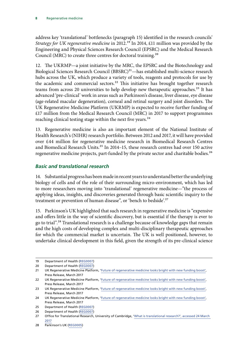<span id="page-11-0"></span>address key 'translational' bottlenecks (paragraph 15) identified in the research councils' *Strategy for UK regenerative medicine* in 2012.19 In 2014, £11 million was provided by the Engineering and Physical Sciences Research Council (EPSRC) and the Medical Research Council (MRC) to create three centres for doctoral training.<sup>20</sup>

12. The UKRMP—a joint initiative by the MRC, the EPSRC and the Biotechnology and Biological Sciences Research Council (BBSRC)<sup>21</sup>—has established multi-science research hubs across the UK, which produce a variety of tools, reagents and protocols for use by the academic and commercial sectors.<sup>22</sup> This initiative has brought together research teams from across 20 universities to help develop new therapeutic approaches.<sup>23</sup> It has advanced 'pre-clinical' work in areas such as Parkinson's disease, liver disease, eye disease (age-related macular degeneration), corneal and retinal surgery and joint disorders. The UK Regenerative Medicine Platform (UKRMP) is expected to receive further funding of £17 million from the Medical Research Council (MRC) in 2017 to support programmes reaching clinical testing stage within the next five years.<sup>24</sup>

13. Regenerative medicine is also an important element of the National Institute of Health Research's (NIHR) research portfolio. Between 2012 and 2017, it will have provided over £44 million for regenerative medicine research in Biomedical Research Centres and Biomedical Research Units.<sup>25</sup> In 2014–15, these research centres had over 150 active regenerative medicine projects, part-funded by the private sector and charitable bodies.<sup>26</sup>

#### *Basic and translational research*

14. Substantial progress has been made in recent years to understand better the underlying biology of cells and of the role of their surrounding micro-environment, which has led to more researchers moving into 'translational' regenerative medicine—"the process of applying ideas, insights, and discoveries generated through basic scientific inquiry to the treatment or prevention of human disease", or 'bench to bedside'.<sup>27</sup>

15. Parkinson's UK highlighted that such research in regenerative medicine is "expensive and offers little in the way of scientific discovery, but is essential if the therapy is ever to go to trial".28 Translational research is a challenge because of knowledge gaps that remain and the high costs of developing complex and multi-disciplinary therapeutic approaches for which the commercial market is uncertain. The UK is well positioned, however, to undertake clinical development in this field, given the strength of its pre-clinical science

<sup>19</sup> Department of Health ([REG0007\)](http://data.parliament.uk/writtenevidence/committeeevidence.svc/evidencedocument/science-and-technology-committee/regenerative-medicine/written/33870.pdf)

<sup>20</sup> Department of Health ([REG0007\)](http://data.parliament.uk/writtenevidence/committeeevidence.svc/evidencedocument/science-and-technology-committee/regenerative-medicine/written/33870.pdf)

<sup>21</sup> UK Regenerative Medicine Platform, '[Future of regenerative medicine looks bright with new funding boost](http://www.ukrmp.org.uk/2017/03/future-of-regenerative-medicine-looks-bright-with-new-funding-boost/)', Press Release, March 2017

<sup>22</sup> UK Regenerative Medicine Platform, '[Future of regenerative medicine looks bright with new funding boost](http://www.ukrmp.org.uk/2017/03/future-of-regenerative-medicine-looks-bright-with-new-funding-boost/)', Press Release, March 2017

<sup>23</sup> UK Regenerative Medicine Platform, '[Future of regenerative medicine looks bright with new funding boost](http://www.ukrmp.org.uk/2017/03/future-of-regenerative-medicine-looks-bright-with-new-funding-boost/)', Press Release, March 2017

<sup>24</sup> UK Regenerative Medicine Platform, '[Future of regenerative medicine looks bright with new funding boost](http://www.ukrmp.org.uk/2017/03/future-of-regenerative-medicine-looks-bright-with-new-funding-boost/)', Press Release, March 2017

<sup>25</sup> Department of Health ([REG0007\)](http://data.parliament.uk/writtenevidence/committeeevidence.svc/evidencedocument/science-and-technology-committee/regenerative-medicine/written/33870.pdf)

<sup>26</sup> Department of Health ([REG0007\)](http://data.parliament.uk/writtenevidence/committeeevidence.svc/evidencedocument/science-and-technology-committee/regenerative-medicine/written/33870.pdf)

<sup>27</sup> Office for Translational Research, University of Cambridge, '[What is translational research?](http://otr.medschl.cam.ac.uk/about-the-office/translational-research/)', accessed 24 March 2017

<sup>28</sup> Parkinson's UK ([REG0005](http://data.parliament.uk/writtenevidence/committeeevidence.svc/evidencedocument/science-and-technology-committee/regenerative-medicine/written/33770.pdf))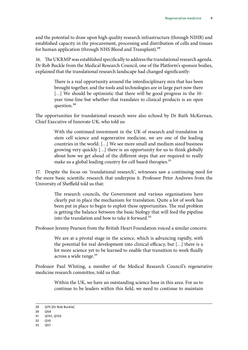and the potential to draw upon high quality research infrastructure (through NIHR) and established capacity in the procurement, processing and distribution of cells and tissues for human application (through NHS Blood and Transplant).<sup>29</sup>

16. The UKRMP was established specifically to address the translational research agenda. Dr Rob Buckle from the Medical Research Council, one of the Platform's sponsor bodies, explained that the translational research landscape had changed significantly:

> There is a real opportunity around the interdisciplinary mix that has been brought together, and the tools and technologies are in large part now there [...] We should be optimistic that there will be good progress in the 10year time-line but whether that translates to clinical products is an open question.30

The opportunities for translational research were also echoed by Dr Ruth McKernan, Chief Executive of Innovate UK, who told us:

> With the continued investment in the UK of research and translation in stem cell science and regenerative medicine, we are one of the leading countries in the world. […] We see more small and medium sized business growing very quickly […] there is an opportunity for us to think globally about how we get ahead of the different steps that are required to really make us a global leading country for cell based therapies.<sup>31</sup>

17. Despite the focus on 'translational research', witnesses saw a continuing need for the more basic scientific research that underpins it. Professor Peter Andrews from the University of Sheffield told us that:

> The research councils, the Government and various organisations have clearly put in place the mechanism for translation. Quite a lot of work has been put in place to begin to exploit these opportunities. The real problem is getting the balance between the basic biology that will feed the pipeline into the translation and how to take it forward.<sup>32</sup>

Professor Jeremy Pearson from the British Heart Foundation voiced a similar concern:

We are at a pivotal stage in the science, which is advancing rapidly, with the potential for real development into clinical efficacy, but […] there is a lot more science yet to be learned to enable that transition to work fluidly across a wide range.<sup>33</sup>

Professor Paul Whiting, a member of the Medical Research Council's regenerative medicine research committee, told us that:

> Within the UK, we have an outstanding science base in this area. For us to continue to be leaders within this field, we need to continue to maintain

<sup>29</sup> Q75 [Dr Rob Buckle]

<sup>30</sup> Q54

<sup>31</sup> Q151, Q153

<sup>32</sup> O10

<sup>33</sup> Q57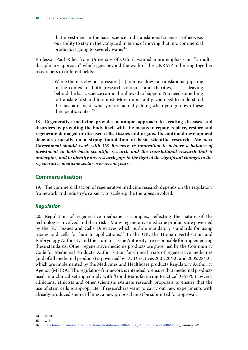<span id="page-13-0"></span>that investment in the basic science and translational science—otherwise, our ability to stay in the vanguard in terms of moving that into commercial products is going to severely wane.34

Professor Paul Riley from University of Oxford wanted more emphasis on "a multidisciplinary approach" which goes beyond the work of the UKRMP in linking together researchers in different fields:

> While there is obvious pressure […] to move down a translational pipeline in the context of both [research councils] and charities, [ … ] leaving behind the basic science cannot be allowed to happen. You need something to translate first and foremost. More importantly, you need to understand the mechanisms of what you are actually doing when you go down these therapeutic routes.35

18. **Regenerative medicine provides a unique approach to treating diseases and disorders by providing the body itself with the means to repair, replace, restore and regenerate damaged or diseased cells, tissues and organs. Its continual development depends crucially on a strong foundation of basic scientific research.** *The next Government should work with UK Research & Innovation to achieve a balance of investment in both basic scientific research and the translational research that it underpins, and to identify any research gaps in the light of the significant changes in the regenerative medicine sector over recent years.*

### **Commercialisation**

19. The commercialisation of regenerative medicine research depends on the regulatory framework and industry's capacity to scale-up the therapies involved.

#### *Regulation*

20. Regulation of regenerative medicine is complex, reflecting the nature of the technologies involved and their risks. Many regenerative medicine products are governed by the EU Tissues and Cells Directives which outline mandatory standards for using tissues and cells for human applications.<sup>36</sup> In the UK, the Human Fertilisation and Embryology Authority and the Human Tissue Authority are responsible for implementing these standards. Other regenerative medicine products are governed by the Community Code for Medicinal Products. Authorisation for clinical trials of regenerative medicines (and of all medicinal products) is governed by EU Directives 2001/20/EC and 2005/28/EC, which are implemented by the Medicines and Healthcare products Regulatory Authority Agency (MHRA). The regulatory framework is intended to ensure that medicinal products used in a clinical setting comply with 'Good Manufacturing Practice' (GMP). Lawyers, clinicians, ethicists and other scientists evaluate research proposals to ensure that the use of stem cells is appropriate. If researchers want to carry out new experiments with already-produced stem cell lines, a new proposal must be submitted for approval.

<sup>34</sup> Q101

<sup>35</sup> Q13

<sup>36</sup> [Safe human tissues and cells for transplantation—\(2004/23/EC, 2006/17/EC and 2006/86/EC\)](http://eur-lex.europa.eu/legal-content/EN/TXT/?uri=URISERV%3Ac11573), January 2016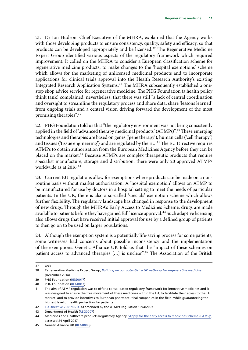21. Dr Ian Hudson, Chief Executive of the MHRA, explained that the Agency works with those developing products to ensure consistency, quality, safety and efficacy, so that products can be developed appropriately and be licensed.<sup>37</sup> The Regenerative Medicine Expert Group identified various aspects of the regulatory framework which required improvement. It called on the MHRA to consider a European classification scheme for regenerative medicine products, to make changes to the 'hospital exemptions' scheme which allows for the marketing of unlicensed medicinal products and to incorporate applications for clinical trials approval into the Health Research Authority's existing Integrated Research Application Systems.<sup>38</sup> The MHRA subsequently established a onestop shop advice service for regenerative medicine. The PHG Foundation (a health policy think tank) complained, nevertheless, that there was still "a lack of central coordination and oversight to streamline the regulatory process and share data, share 'lessons learned' from ongoing trials and a central vision driving forward the development of the most promising therapies".39

22. PHG Foundation told us that "the regulatory environment was not being consistently applied in the field of 'advanced therapy medicinal products' (ATMPs)".<sup>40</sup> These emerging technologies and therapies are based on genes ('gene therapy'), human cells ('cell therapy') and tissues ('tissue engineering') and are regulated by the EU.<sup>41</sup> The EU Directive requires ATMPs to obtain authorisation from the European Medicines Agency before they can be placed on the market.<sup>42</sup> Because ATMPs are complex therapeutic products that require specialist manufacture, storage and distribution, there were only 20 approved ATMPs worldwide as at 2016.<sup>43</sup>

23. Current EU regulations allow for exemptions where products can be made on a nonroutine basis without market authorisation. A 'hospital exemption' allows an ATMP to be manufactured for use by doctors in a hospital setting to meet the needs of particular patients. In the UK, there is also a so-called 'specials' exemption scheme which allows further flexibility. The regulatory landscape has changed in response to the development of new drugs. Through the MHRA's Early Access to Medicines Scheme, drugs are made available to patients before they have gained full licence approval.<sup>44</sup> Such adaptive licensing also allows drugs that have received initial approval for use by a defined group of patients to then go on to be used on larger populations.

24. Although the exemption system is a potentially life-saving process for some patients, some witnesses had concerns about possible inconsistency and the implementation of the exemptions. Genetic Alliance UK told us that the "impact of these schemes on patient access to advanced therapies [...] is unclear".<sup>45</sup> The Association of the British

<sup>37</sup> Q93

<sup>38</sup> Regenerative Medicine Expert Group, *[Building on our potential: a UK pathway for regenerative medicine](https://www.gov.uk/government/uploads/system/uploads/attachment_data/file/415919/build-on-potential.pdf)* (December 2014)

<sup>39</sup> PHG Foundation ([REG0017](http://data.parliament.uk/writtenevidence/committeeevidence.svc/evidencedocument/science-and-technology-committee/regenerative-medicine/written/33944.pdf))

<sup>40</sup> PHG Foundation ([REG0017](http://data.parliament.uk/writtenevidence/committeeevidence.svc/evidencedocument/science-and-technology-committee/regenerative-medicine/written/33944.pdf))

<sup>41</sup> The aim of ATMP regulation was to offer a consolidated regulatory framework for innovative medicines and it was designed to ensure the free movement of these medicines within the EU, to facilitate their access to the EU market, and to provide incentives to European pharmaceutical companies in the field, while guaranteeing the highest level of health protection for patients.

<sup>42</sup> [EU Directive 2001/83/EC](http://www.ema.europa.eu/docs/en_GB/document_library/Regulatory_and_procedural_guideline/2009/10/WC500004481.pdf) as amended by the ATMPs Regulation 1394/2007

<sup>43</sup> Department of Health ([REG0007\)](http://data.parliament.uk/writtenevidence/committeeevidence.svc/evidencedocument/science-and-technology-committee/regenerative-medicine/written/33870.pdf)

<sup>44</sup> Medicines and Healthcare products Regulatory Agency, ['Apply for the early access to medicines scheme \(EAMS\)',](https://www.gov.uk/guidance/apply-for-the-early-access-to-medicines-scheme-eams) accessed 24 April 2017

<sup>45</sup> Genetic Alliance UK ([REG0008](http://data.parliament.uk/writtenevidence/committeeevidence.svc/evidencedocument/science-and-technology-committee/regenerative-medicine/written/33879.pdf))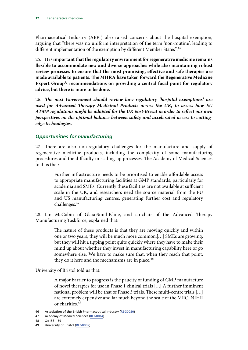<span id="page-15-0"></span>Pharmaceutical Industry (ABPI) also raised concerns about the hospital exemption, arguing that "there was no uniform interpretation of the term 'non-routine', leading to different implementation of the exemption by different Member States".<sup>46</sup>

25. **It is important that the regulatory environment for regenerative medicine remains flexible to accommodate new and diverse approaches while also maintaining robust review processes to ensure that the most promising, effective and safe therapies are made available to patients. The MHRA have taken forward the Regenerative Medicine Expert Group's recommendations on providing a central focal point for regulatory advice, but there is more to be done.**

26. *The next Government should review how regulatory 'hospital exemptions' are used for Advanced Therapy Medicinal Products across the UK, to assess how EU ATMP regulations might be adapted for the UK post-Brexit in order to reflect our own perspectives on the optimal balance between safety and accelerated access to cuttingedge technologies.*

#### *Opportunities for manufacturing*

27. There are also non-regulatory challenges for the manufacture and supply of regenerative medicine products, including the complexity of some manufacturing procedures and the difficulty in scaling-up processes. The Academy of Medical Sciences told us that:

> Further infrastructure needs to be prioritised to enable affordable access to appropriate manufacturing facilities at GMP standards, particularly for academia and SMEs. Currently these facilities are not available at sufficient scale in the UK, and researchers need the source material from the EU and US manufacturing centres, generating further cost and regulatory challenges.47

28. Ian McCubin of GlaxoSmithKline, and co-chair of the Advanced Therapy Manufacturing Taskforce, explained that:

> The nature of these products is that they are moving quickly and within one or two years, they will be much more common.[…] SMEs are growing, but they will hit a tipping point quite quickly where they have to make their mind up about whether they invest in manufacturing capability here or go somewhere else. We have to make sure that, when they reach that point, they do it here and the mechanisms are in place.<sup>48</sup>

University of Bristol told us that:

A major barrier to progress is the paucity of funding of GMP manufacture of novel therapies for use in Phase 1 clinical trials […] A further imminent national problem will be that of Phase 3 trials. These multi-centre trials […] are extremely expensive and far much beyond the scale of the MRC, NIHR or charities.49

<sup>46</sup> Association of the British Pharmaceutical Industry ([REG0020\)](http://data.parliament.uk/writtenevidence/committeeevidence.svc/evidencedocument/science-and-technology-committee/regenerative-medicine/written/33957.pdf)

<sup>47</sup> Academy of Medical Sciences [\(REG0014\)](http://data.parliament.uk/writtenevidence/committeeevidence.svc/evidencedocument/science-and-technology-committee/regenerative-medicine/written/33924.pdf)

<sup>48</sup> Qq158–159

<sup>49</sup> University of Bristol ([REG0002](http://data.parliament.uk/writtenevidence/committeeevidence.svc/evidencedocument/science-and-technology-committee/regenerative-medicine/written/33446.pdf))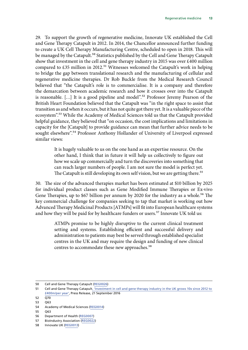29. To support the growth of regenerative medicine, Innovate UK established the Cell and Gene Therapy Catapult in 2012. In 2014, the Chancellor announced further funding to create a UK Cell Therapy Manufacturing Centre, scheduled to open in 2018. This will be managed by the Catapult.<sup>50</sup> Statistics published by the Cell and Gene Therapy Catapult show that investment in the cell and gene therapy industry in 2015 was over £400 million compared to  $£35$  million in 2012.<sup>51</sup> Witnesses welcomed the Catapult's work in helping to bridge the gap between translational research and the manufacturing of cellular and regenerative medicine therapies. Dr Rob Buckle from the Medical Research Council believed that "the Catapult's role is to commercialise. It is a company and therefore the demarcation between academic research and how it crosses over into the Catapult is reasonable. [...] It is a good pipeline and model".<sup>52</sup> Professor Jeremy Pearson of the British Heart Foundation believed that the Catapult was "in the right space to assist that transition as and when it occurs, but it has not quite got there yet. It is a valuable piece of the ecosystem".<sup>53</sup> While the Academy of Medical Sciences told us that the Catapult provided helpful guidance, they believed that "on occasion, the cost implications and limitations in capacity for the [Catapult] to provide guidance can mean that further advice needs to be sought elsewhere".<sup>54</sup> Professor Anthony Hollander of University of Liverpool expressed similar views:

> It is hugely valuable to us on the one hand as an expertise resource. On the other hand, I think that in future it will help us collectively to figure out how we scale up commercially and turn the discoveries into something that can reach larger numbers of people. I am not sure the model is perfect yet. The Catapult is still developing its own self vision, but we are getting there.<sup>55</sup>

30. The size of the advanced therapies market has been estimated at \$10 billion by 2025 for individual product classes such as Gene Modified Immune Therapies or Ex-vivo Gene Therapies, up to \$67 billion per annum by 2020 for the industry as a whole.<sup>56</sup> The key commercial challenge for companies seeking to tap that market is working out how Advanced Therapy Medicinal Products [ATMPs] will fit into European healthcare systems and how they will be paid for by healthcare funders or users.<sup>57</sup> Innovate UK told us:

> ATMPs promise to be highly disruptive to the current clinical treatment setting and systems. Establishing efficient and successful delivery and administration to patients may best be served through established specialist centres in the UK and may require the design and funding of new clinical centres to accommodate these new approaches.<sup>58</sup>

55 Q63

<sup>50</sup> Cell and Gene Therapy Catapult [\(REG0026\)](http://data.parliament.uk/writtenevidence/committeeevidence.svc/evidencedocument/science-and-technology-committee/regenerative-medicine/written/34007.pdf)

<sup>51</sup> Cell and Gene Therapy Catapult, *Thiostment in cell and gene therapy industry in the UK grows 10x since 2012 to* [£400m/per year'](https://ct.catapult.org.uk/news-media/regulatory-news/press-release-investment-cell-and-gene-therapy-industry-uk-grows-10x-2012), Press Release, 21 September 2016

 $52 \overline{O70}$ 53 Q63

<sup>54</sup> Academy of Medical Sciences [\(REG0014\)](http://data.parliament.uk/writtenevidence/committeeevidence.svc/evidencedocument/science-and-technology-committee/regenerative-medicine/written/33924.pdf)

<sup>56</sup> Department of Health ([REG0007\)](http://data.parliament.uk/writtenevidence/committeeevidence.svc/evidencedocument/science-and-technology-committee/regenerative-medicine/written/33870.pdf)

<sup>57</sup> BioIndustry Association [\(REG0022](http://data.parliament.uk/writtenevidence/committeeevidence.svc/evidencedocument/science-and-technology-committee/regenerative-medicine/written/33962.pdf))

<sup>58</sup> Innovate UK [\(REG0013](http://data.parliament.uk/writtenevidence/committeeevidence.svc/evidencedocument/science-and-technology-committee/regenerative-medicine/written/33920.pdf))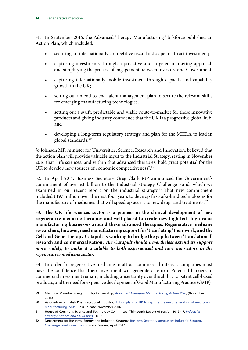31. In September 2016, the Advanced Therapy Manufacturing Taskforce published an Action Plan, which included:

- securing an internationally competitive fiscal landscape to attract investment;
- capturing investments through a proactive and targeted marketing approach and simplifying the process of engagement between investors and Government;
- capturing internationally mobile investment through capacity and capability growth in the UK;
- setting out an end-to-end talent management plan to secure the relevant skills for emerging manufacturing technologies;
- setting out a swift, predictable and viable route-to-market for these innovative products and giving industry confidence that the UK is a progressive global hub; and
- developing a long-term regulatory strategy and plan for the MHRA to lead in global standards.59

Jo Johnson MP, minister for Universities, Science, Research and Innovation, believed that the action plan will provide valuable input to the Industrial Strategy, stating in November 2016 that "life sciences, and within that advanced therapies, hold great potential for the UK to develop new sources of economic competitiveness".<sup>60</sup>

32. In April 2017, Business Secretary Greg Clark MP announced the Government's commitment of over £1 billion to the Industrial Strategy Challenge Fund, which we examined in our recent report on the industrial strategy.<sup>61</sup> That new commitment included £197 million over the next four years to develop first-of-a-kind technologies for the manufacture of medicines that will speed up access to new drugs and treatments.<sup>62</sup>

33. **The UK life sciences sector is a pioneer in the clinical development of new regenerative medicine therapies and well placed to create new high-tech high-value manufacturing businesses around these advanced therapies. Regenerative medicine researchers, however, need manufacturing support for 'translating' their work, and the Cell and Gene Therapy Catapult is working to bridge the gap between 'translational' research and commercialisation.** *The Catapult should nevertheless extend its support more widely, to make it available to both experienced and new innovators in the regenerative medicine sector.*

34. In order for regenerative medicine to attract commercial interest, companies must have the confidence that their investment will generate a return. Potential barriers to commercial investment remain, including uncertainty over the ability to patent cell-based products, and the need for expensive development of Good Manufacturing Practice (GMP)-

<sup>59</sup> Medicine Manufacturing Industry Partnership, *[Advanced Therapies Manufacturing Action Plan](http://www.abpi.org.uk/our-work/mmip/documents/advanced-therapies-manufacturing-taskforce-report.pdf)*, (November 2016)

<sup>60</sup> Association of British Pharmaceutical Industry, ['Action plan for UK to capture the next generation of medicines](http://www.abpi.org.uk/media-centre/newsreleases/2016/Pages/Action-Plan-for-UK-to-capture-the-next-generation-of-medicines-manufacturing-jobs.aspx)  [manufacturing jobs',](http://www.abpi.org.uk/media-centre/newsreleases/2016/Pages/Action-Plan-for-UK-to-capture-the-next-generation-of-medicines-manufacturing-jobs.aspx) Press Release, November 2016

<sup>61</sup> House of Commons Science and Technology Committee, Thirteenth Report of session 2016–17, *[Industrial](https://www.publications.parliament.uk/pa/cm201617/cmselect/cmsctech/991/991.pdf)  [Strategy: science and STEM skills](https://www.publications.parliament.uk/pa/cm201617/cmselect/cmsctech/991/991.pdf)*, HC 991

<sup>62</sup> Department for Business, Energy and Industrial Strategy, Business Secretary announces Industrial Strategy [Challenge Fund investments,](https://www.gov.uk/government/news/business-secretary-announces-industrial-strategy-challenge-fund-investments) Press Release, April 2017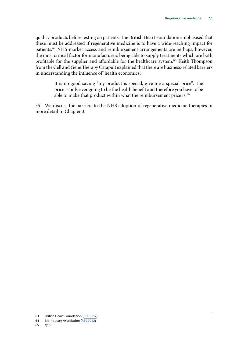quality products before testing on patients. The British Heart Foundation emphasised that these must be addressed if regenerative medicine is to have a wide-reaching impact for patients.<sup>63</sup> NHS market access and reimbursement arrangements are perhaps, however, the most critical factor for manufacturers being able to supply treatments which are both profitable for the supplier and affordable for the healthcare system.<sup>64</sup> Keith Thompson from the Cell and Gene Therapy Catapult explained that there are business-related barriers in understanding the influence of 'health economics':

> It is no good saying "my product is special, give me a special price". The price is only ever going to be the health benefit and therefore you have to be able to make that product within what the reimbursement price is.<sup>65</sup>

35. We discuss the barriers to the NHS adoption of regenerative medicine therapies in more detail in Chapter 3.

<sup>63</sup> British Heart Foundation ([REG0012\)](http://data.parliament.uk/writtenevidence/committeeevidence.svc/evidencedocument/science-and-technology-committee/regenerative-medicine/written/33911.pdf)

<sup>64</sup> BioIndustry Association [\(REG0022](http://data.parliament.uk/writtenevidence/committeeevidence.svc/evidencedocument/science-and-technology-committee/regenerative-medicine/written/33962.pdf))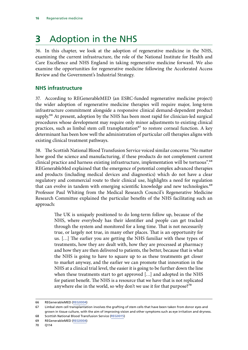# <span id="page-19-0"></span>**3** Adoption in the NHS

36. In this chapter, we look at the adoption of regenerative medicine in the NHS, examining the current infrastructure, the role of the National Institute for Health and Care Excellence and NHS England in taking regenerative medicine forward. We also examine the opportunities for regenerative medicine following the Accelerated Access Review and the Government's Industrial Strategy.

### **NHS infrastructure**

37. According to REGenerableMED (an ESRC-funded regenerative medicine project) the wider adoption of regenerative medicine therapies will require major, long-term infrastructure commitment alongside a responsive clinical demand-dependent product supply.<sup>66</sup> At present, adoption by the NHS has been most rapid for clinician-led surgical procedures whose development may require only minor adjustments to existing clinical practices, such as limbal stem cell transplantation<sup>67</sup> to restore corneal function. A key determinant has been how well the administration of particular cell therapies aligns with existing clinical treatment pathways.

38. The Scottish National Blood Transfusion Service voiced similar concerns: "No matter how good the science and manufacturing, if these products do not complement current clinical practice and harness existing infrastructure, implementation will be tortuous".68 REGenerableMed explained that the emergence of potential complex advanced therapies and products (including medical devices and diagnostics) which do not have a clear regulatory and commercial route to their clinical use, highlights a need for regulation that can evolve in tandem with emerging scientific knowledge and new technologies.<sup>69</sup> Professor Paul Whiting from the Medical Research Council's Regenerative Medicine Research Committee explained the particular benefits of the NHS facilitating such an approach:

> The UK is uniquely positioned to do long-term follow up, because of the NHS, where everybody has their identifier and people can get tracked through the system and monitored for a long time. That is not necessarily true, or largely not true, in many other places. That is an opportunity for us. […] The earlier you are getting the NHS familiar with these types of treatments, how they are dealt with, how they are processed at pharmacy and how they are then delivered to patients, the better, because that is what the NHS is going to have to square up to as these treatments get closer to market anyway, and the earlier we can promote that innovation in the NHS at a clinical trial level, the easier it is going to be further down the line when these treatments start to get approved […] and adopted in the NHS for patient benefit. The NHS is a resource that we have that is not replicated anywhere else in the world, so why don't we use it for that purpose?<sup>70</sup>

<sup>66</sup> REGenerableMED [\(REG0004\)](http://data.parliament.uk/writtenevidence/committeeevidence.svc/evidencedocument/science-and-technology-committee/regenerative-medicine/written/33760.pdf)

<sup>67</sup> Limbal stem cell transplantation involves the grafting of stem cells that have been taken from donor eyes and grown in tissue culture, with the aim of improving vision and other symptoms such as eye irritation and dryness.

<sup>68</sup> Scottish National Blood Transfusion Service [\(REG0015\)](http://data.parliament.uk/writtenevidence/committeeevidence.svc/evidencedocument/science-and-technology-committee/regenerative-medicine/written/33939.pdf)

<sup>69</sup> REGenerableMED [\(REG0004\)](http://data.parliament.uk/writtenevidence/committeeevidence.svc/evidencedocument/science-and-technology-committee/regenerative-medicine/written/33760.pdf)

<sup>70</sup> Q114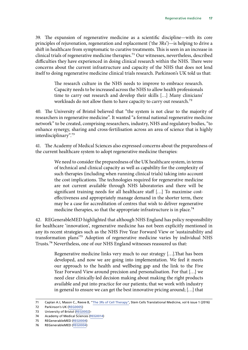39. The expansion of regenerative medicine as a scientific discipline—with its core principles of rejuvenation, regeneration and replacement ('the 3Rs')—is helping to drive a shift in healthcare from symptomatic to curative treatments. This is seen in an increase in clinical trials of regenerative medicine therapies.<sup>71</sup> Our witnesses, nevertheless, described difficulties they have experienced in doing clinical research within the NHS. There were concerns about the current infrastructure and capacity of the NHS that does not lend itself to doing regenerative medicine clinical trials research. Parkinson's UK told us that:

> The research culture in the NHS needs to improve to embrace research. Capacity needs to be increased across the NHS to allow health professionals time to carry out research and develop their skills […] Many clinicians' workloads do not allow them to have capacity to carry out research.<sup>72</sup>

40. The University of Bristol believed that "the system is not clear to the majority of researchers in regenerative medicine". It wanted "a formal national regenerative medicine network" to be created, comprising researchers, industry, NHS and regulatory bodies, "to enhance synergy, sharing and cross-fertilisation across an area of science that is highly interdisciplinary".73

41. The Academy of Medical Sciences also expressed concerns about the preparedness of the current healthcare system to adopt regenerative medicine therapies:

> We need to consider the preparedness of the UK healthcare system, in terms of technical and clinical capacity as well as capability for the complexity of such therapies (including when running clinical trials) taking into account the cost implications. The technologies required for regenerative medicine are not current available through NHS laboratories and there will be significant training needs for all healthcare staff […] To maximise costeffectiveness and appropriately manage demand in the shorter term, there may be a case for accreditation of centres that wish to deliver regenerative medicine therapies, so that the appropriate infrastructure is in place.<sup>74</sup>

42. REGenerableMED highlighted that although NHS England has policy responsibility for healthcare 'innovation', regenerative medicine has not been explicitly mentioned in any its recent strategies such as the NHS Five Year Forward View or 'sustainability and transformation plans'75 Adoption of regenerative medicine varies by individual NHS Trusts.76 Nevertheless, one of our NHS England witnesses reassured us that:

> Regenerative medicine links very much to our strategy […].That has been developed, and now we are going into implementation. We feel it meets our approach to the health and wellbeing gap and the link to the Five Year Forward View around precision and personalisation. For that […] we need clear clinically-led decision making about making the right products available and put into practice for our patients; that we work with industry in general to ensure we can get the best innovative pricing around; […] that

<sup>71</sup> Caplan A.I, Mason C., Reeve B, "[The 3Rs of Cell Therapy](http://onlinelibrary.wiley.com/doi/10.5966/sctm.2016-0180/pdf)", Stem Cells Translational Medicine, vol 6 issue 1 (2016)

<sup>72</sup> Parkinson's UK ([REG0005](http://data.parliament.uk/writtenevidence/committeeevidence.svc/evidencedocument/science-and-technology-committee/regenerative-medicine/written/33770.pdf))

<sup>73</sup> University of Bristol ([REG0002](http://data.parliament.uk/writtenevidence/committeeevidence.svc/evidencedocument/science-and-technology-committee/regenerative-medicine/written/33446.pdf))-

<sup>74</sup> Academy of Medical Sciences [\(REG0014\)](http://data.parliament.uk/writtenevidence/committeeevidence.svc/evidencedocument/science-and-technology-committee/regenerative-medicine/written/33924.pdf)

<sup>75</sup> REGenerableMED [\(REG0004\)](http://data.parliament.uk/writtenevidence/committeeevidence.svc/evidencedocument/science-and-technology-committee/regenerative-medicine/written/33760.pdf)

<sup>76</sup> REGenerableMED [\(REG0004\)](http://data.parliament.uk/writtenevidence/committeeevidence.svc/evidencedocument/science-and-technology-committee/regenerative-medicine/written/33760.pdf)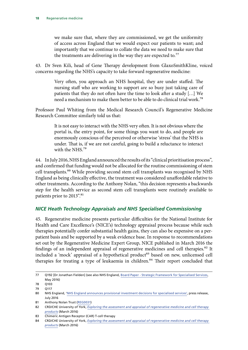<span id="page-21-0"></span>we make sure that, where they are commissioned, we get the uniformity of access across England that we would expect our patients to want; and importantly that we continue to collate the data we need to make sure that the treatments are delivering in the way they are expected to.<sup>77</sup>

43. Dr Sven Kili, head of Gene Therapy development from GlaxoSmithKline, voiced concerns regarding the NHS's capacity to take forward regenerative medicine:

> Very often, you approach an NHS hospital, they are under staffed. The nursing staff who are working to support are so busy just taking care of patients that they do not often have the time to look after a study […] We need a mechanism to make them better to be able to do clinical trial work.78

Professor Paul Whiting from the Medical Research Council's Regenerative Medicine Research Committee similarly told us that:

> It is not easy to interact with the NHS very often. It is not obvious where the portal is, the entry point, for some things you want to do, and people are enormously conscious of the perceived or otherwise 'stress' that the NHS is under. That is, if we are not careful, going to build a reluctance to interact with the NHS.<sup>79</sup>

44. In July 2016, NHS England announced the results of its "clinical prioritisation process", and confirmed that funding would not be allocated for the routine commissioning of stem cell transplants.<sup>80</sup> While providing second stem cell transplants was recognised by NHS England as being clinically effective, the treatment was considered unaffordable relative to other treatments. According to the Anthony Nolan, "this decision represents a backwards step for the health service as second stem cell transplants were routinely available to patients prior to 2013".<sup>81</sup>

#### *NICE Heath Technology Appraisals and NHS Specialised Commissioning*

45. Regenerative medicine presents particular difficulties for the National Institute for Health and Care Excellence's (NICE's) technology appraisal process because while such therapies potentially confer substantial health gains, they can also be expensive on a perpatient basis and be supported by a weak evidence base. In response to recommendations set out by the Regenerative Medicine Expert Group, NICE published in March 2016 the findings of an independent appraisal of regenerative medicines and cell therapies.<sup>82</sup> It included a 'mock' appraisal of a hypothetical product<sup>83</sup> based on new, unlicensed cell therapies for treating a type of leukaemia in children.<sup>84</sup> Their report concluded that

81 Anthony Nolan Trust ([REG0031\)](http://data.parliament.uk/writtenevidence/committeeevidence.svc/evidencedocument/science-and-technology-committee/regenerative-medicine/written/43980.pdf)

<sup>77</sup> Q192 [Dr Jonathan Fielden] (see also NHS England, [Board Paper - Strategic Framework for Specialised Services](https://www.england.nhs.uk/wp-content/uploads/2016/05/item5-26-05-16.pdf), May 2016)

<sup>78</sup> Q103

<sup>79</sup> Q117

<sup>80</sup> NHS England, '[NHS England announces provisional investment decisions for specialised services](https://www.england.nhs.uk/2016/07/spec-services-investment/)', press release, July 2016

<sup>82</sup> CRD/CHE University of York, *[Exploring the assessment and appraisal of regenerative medicine and cell therapy](https://www.nice.org.uk/Media/Default/About/what-we-do/Science%20policy%20and%20research/final-york-report-march-16.pdf)  [products](https://www.nice.org.uk/Media/Default/About/what-we-do/Science%20policy%20and%20research/final-york-report-march-16.pdf)* (March 2016)

<sup>83</sup> Chimeric Antigen Receptor (CAR) T-cell therapy

<sup>84</sup> CRD/CHE University of York, *[Exploring the assessment and appraisal of regenerative medicine and cell therapy](https://www.nice.org.uk/Media/Default/About/what-we-do/Science%20policy%20and%20research/final-york-report-march-16.pdf)  [products](https://www.nice.org.uk/Media/Default/About/what-we-do/Science%20policy%20and%20research/final-york-report-march-16.pdf)* (March 2016)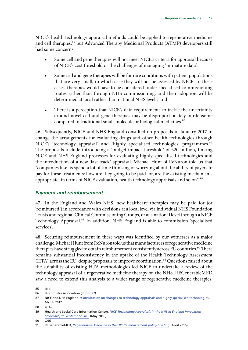<span id="page-22-0"></span>NICE's health technology appraisal methods could be applied to regenerative medicine and cell therapies,<sup>85</sup> but Advanced Therapy Medicinal Products (ATMP) developers still had some concerns:

- Some cell and gene therapies will not meet NICE's criteria for appraisal because of NICE's cost threshold or the challenges of managing 'immature data';
- Some cell and gene therapies will be for rare conditions with patient populations that are very small, in which case they will not be assessed by NICE. In these cases, therapies would have to be considered under specialised commissioning routes rather than through NHS commissioning, and their adoption will be determined at local rather than national NHS levels; and
- There is a perception that NICE's data requirements to tackle the uncertainty around novel cell and gene therapies may be disproportionately burdensome compared to traditional small-molecule or biological medicines.<sup>86</sup>

46. Subsequently, NICE and NHS England consulted on proposals in January 2017 to change the arrangements for evaluating drugs and other health technologies through NICE's 'technology appraisal' and 'highly specialised technologies' programmes.<sup>87</sup> The proposals include introducing a 'budget impact threshold' of £20 million, linking NICE and NHS England processes for evaluating highly specialised technologies and the introduction of a new 'fast track' appraisal. Michael Hunt of ReNuron told us that "companies like us spend a lot of time thinking or worrying about the ability of payers to pay for these treatments: how are they going to be paid for, are the existing mechanisms appropriate, in terms of NICE evaluation, health technology appraisals and so on".<sup>88</sup>

#### *Payment and reimbursement*

47. In the England and Wales NHS, new healthcare therapies may be paid for (or 'reimbursed') in accordance with decisions at a local level via individual NHS Foundation Trusts and regional Clinical Commissioning Groups, or at a national level through a NICE Technology Appraisal.<sup>89</sup> In addition, NHS England is able to commission 'specialised services'.

48. Securing reimbursement in these ways was identified by our witnesses as a major challenge. Michael Hunt from ReNuron told us that manufacturers of regenerative medicine therapies have struggled to obtain reimbursement consistently across EU countries.<sup>90</sup> There remains substantial inconsistency in the uptake of the Health Technology Assessment (HTA) across the EU, despite proposals to improve coordination.<sup>91</sup> Questions raised about the suitability of existing HTA methodologies led NICE to undertake a review of the technology appraisal of a regenerative medicine therapy on the NHS. REGenerableMED saw a need to extend this analysis to a wider range of regenerative medicine therapies.

<sup>85</sup> Ibid

<sup>86</sup> BioIndustry Association [\(REG0022](http://data.parliament.uk/writtenevidence/committeeevidence.svc/evidencedocument/science-and-technology-committee/regenerative-medicine/written/33962.pdf))

<sup>87</sup> NICE and NHS England, '[Consultation on changes to technology appraisals and highly specialised technologies'](https://www.nice.org.uk/about/what-we-do/our-programmes/nice-guidance/nice-technology-appraisal-guidance/consultation-on-changes-to-technology-appraisals-and-highly-specialised-technologies), March 2017

<sup>88</sup> Q142

<sup>89</sup> Health and Social Care Information Centre, *[NICE Technology Appraisals in the NHS in England Innovation](http://content.digital.nhs.uk/media/21126/NICE-Technology-Appraisals-in-the-NHS-in-England-Innovation-Scorecard-to-September-2015/pdf/nice-tech-apps-eng-apr16-inno-scor-rep.pdf)  [Scorecard\) to September 2015](http://content.digital.nhs.uk/media/21126/NICE-Technology-Appraisals-in-the-NHS-in-England-Innovation-Scorecard-to-September-2015/pdf/nice-tech-apps-eng-apr16-inno-scor-rep.pdf)* (May 2016)

<sup>90</sup> Q96

<sup>91</sup> REGenerableMED, *[Regenerative Medicine in the UK: Reimbursement](https://issuu.com/eurostemcell/docs/rm_policy_briefing_reimbursement_ap) policy briefing* (April 2016)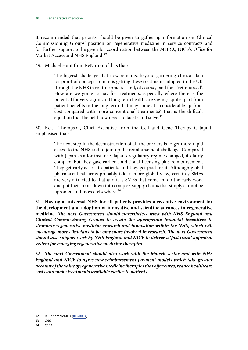It recommended that priority should be given to gathering information on Clinical Commissioning Groups' position on regenerative medicine in service contracts and for further support to be given for coordination between the MHRA, NICE's Office for Market Access and NHS England.<sup>92</sup>

49. Michael Hunt from ReNuron told us that:

The biggest challenge that now remains, beyond garnering clinical data for proof-of-concept in man is getting these treatments adopted in the UK through the NHS in routine practice and, of course, paid for—'reimbursed'. How are we going to pay for treatments, especially where there is the potential for very significant long-term healthcare savings, quite apart from patient benefits in the long term that may come at a considerable up-front cost compared with more conventional treatments? That is the difficult equation that the field now needs to tackle and solve.<sup>93</sup>

50. Keith Thompson, Chief Executive from the Cell and Gene Therapy Catapult, emphasised that:

> The next step in the deconstruction of all the barriers is to get more rapid access to the NHS and to join up the reimbursement challenge. Compared with Japan as a for instance, Japan's regulatory regime changed, it's fairly complex, but they gave earlier conditional licensing plus reimbursement. They get early access to patients and they get paid for it. Although global pharmaceutical firms probably take a more global view, certainly SMEs are very attracted to that and it is SMEs that come in, do the early work and put their roots down into complex supply chains that simply cannot be uprooted and moved elsewhere.<sup>94</sup>

51. **Having a universal NHS for all patients provides a receptive environment for the development and adoption of innovative and scientific advances in regenerative medicine.** *The next Government should nevertheless work with NHS England and Clinical Commissioning Groups to create the appropriate financial incentives to stimulate regenerative medicine research and innovation within the NHS, which will encourage more clinicians to become more involved in research. The next Government should also support work by NHS England and NICE to deliver a 'fast track' appraisal system for emerging regenerative medicine therapies.*

52. *The next Government should also work with the biotech sector and with NHS England and NICE to agree new reimbursement payment models which take greater account of the value of regenerative medicine therapies that offer cures, reduce healthcare costs and make treatments available earlier to patients.*

<sup>92</sup> REGenerableMED [\(REG0004\)](http://data.parliament.uk/writtenevidence/committeeevidence.svc/evidencedocument/science-and-technology-committee/regenerative-medicine/written/33760.pdf)

<sup>93</sup> Q96

<sup>94</sup> Q154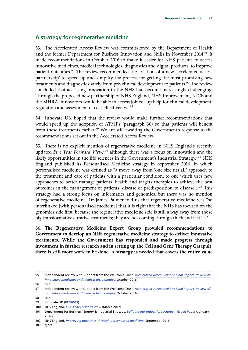### <span id="page-24-0"></span>**A strategy for regenerative medicine**

53. The Accelerated Access Review was commissioned by the Department of Health and the former Department for Business Innovation and Skills in November 2014.<sup>95</sup> It made recommendations in October 2016 to make it easier for NHS patients to access innovative medicines, medical technologies, diagnostics and digital products, to improve patient outcomes.96 The review recommended the creation of a new 'accelerated access partnership' to speed up and simplify the process for getting the most promising new treatments and diagnostics safely from pre-clinical development to patients.<sup>97</sup> The review concluded that accessing innovation in the NHS had become increasingly challenging. Through the proposed new partnership of NHS England, NHS Improvement, NICE and the MHRA, innovators would be able to access joined- up help for clinical development, regulation and assessment of cost-effectiveness.<sup>98</sup>

54. Innovate UK hoped that the review would make further recommendations that would speed up the adoption of ATMPs (paragraph 30) so that patients will benefit from these treatments earlier.<sup>99</sup> We are still awaiting the Government's response to the recommendations set out in the Accelerated Access Review.

55. There is no explicit mention of regenerative medicine in NHS England's recently updated *Five Year Forward View*,<sup>100</sup> although there was a focus on innovation and the likely opportunities in the life sciences in the Government's Industrial Strategy.<sup>101</sup> NHS England published its Personalised Medicine strategy in September 2016, in which personalised medicine was defined as "a move away from 'one size fits all' approach to the treatment and care of patients with a particular condition, to one which uses new approaches to better manage patients' health and targets therapies to achieve the best outcomes in the management of patients' disease or predisposition to disease".<sup>102</sup> This strategy had a strong focus on informatics and genomics, but there was no mention of regenerative medicine. Dr James Palmer told us that regenerative medicine was "so interlinked [with personalised medicine] that it is right that the NHS has focused on the genomics side first, because the regenerative medicine side is still a way away from those big transformative curative treatments; they are not coming through thick and fast".<sup>103</sup>

56. **The Regenerative Medicine Expert Group provided recommendations to Government to develop an NHS regenerative medicine strategy to deliver innovative treatments. While the Government has responded and made progress through investment in further research and in setting up the Cell and Gene Therapy Catapult, there is still more work to be done. A strategy is needed that covers the entire value** 

<sup>95</sup> Independent review with support from the Wellcome Trust, *[Accelerated Access Review: Final Report, Review of](https://www.gov.uk/government/uploads/system/uploads/attachment_data/file/565072/AAR_final.pdf)  [innovative medicines and medical technologies](https://www.gov.uk/government/uploads/system/uploads/attachment_data/file/565072/AAR_final.pdf)*, October 2016

<sup>96</sup> Ibid

<sup>97</sup> Independent review with support from the Wellcome Trust, *[Accelerated Access Review: Final Report, Review of](https://www.gov.uk/government/uploads/system/uploads/attachment_data/file/565072/AAR_final.pdf)  [innovative medicines and medical technologies](https://www.gov.uk/government/uploads/system/uploads/attachment_data/file/565072/AAR_final.pdf)*, October 2016

<sup>98</sup> Ibid

<sup>99</sup> Innovate UK [\(REG0013](http://data.parliament.uk/writtenevidence/committeeevidence.svc/evidencedocument/science-and-technology-committee/regenerative-medicine/written/33920.pdf))

<sup>100</sup> NHS England, *[Five Year Forward View](https://www.england.nhs.uk/wp-content/uploads/2017/03/NEXT-STEPS-ON-THE-NHS-FIVE-YEAR-FORWARD-VIEW.pdf)* (March 2017)

<sup>101</sup> Department for Business, Energy & Industrial Strategy, *[Building our Industrial Strategy—Green Paper](https://beisgovuk.citizenspace.com/strategy/industrial-strategy/supporting_documents/buildingourindustrialstrategygreenpaper.pdf)* (January 2017)

<sup>102</sup> NHS England, *[Improving outcomes through personalised medicine](https://www.england.nhs.uk/wp-content/uploads/2016/09/improving-outcomes-personalised-medicine.pdf)* (September 2016)

<sup>103</sup> Q221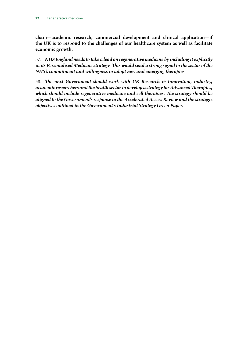**chain—academic research, commercial development and clinical application—if the UK is to respond to the challenges of our healthcare system as well as facilitate economic growth.**

57. *NHS England needs to take a lead on regenerative medicine by including it explicitly in its Personalised Medicine strategy. This would send a strong signal to the sector of the NHS's commitment and willingness to adopt new and emerging therapies.*

58. *The next Government should work with UK Research & Innovation, industry, academic researchers and the health sector to develop a strategy for Advanced Therapies, which should include regenerative medicine and cell therapies. The strategy should be aligned to the Government's response to the Accelerated Access Review and the strategic objectives outlined in the Government's Industrial Strategy Green Paper.*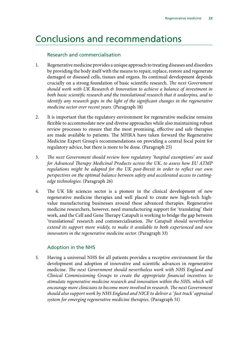## <span id="page-26-0"></span>Conclusions and recommendations

#### Research and commercialisation

- 1. Regenerative medicine provides a unique approach to treating diseases and disorders by providing the body itself with the means to repair, replace, restore and regenerate damaged or diseased cells, tissues and organs. Its continual development depends crucially on a strong foundation of basic scientific research. *The next Government should work with UK Research & Innovation to achieve a balance of investment in both basic scientific research and the translational research that it underpins, and to identify any research gaps in the light of the significant changes in the regenerative medicine sector over recent years*. (Paragraph 18)
- 2. It is important that the regulatory environment for regenerative medicine remains flexible to accommodate new and diverse approaches while also maintaining robust review processes to ensure that the most promising, effective and safe therapies are made available to patients. The MHRA have taken forward the Regenerative Medicine Expert Group's recommendations on providing a central focal point for regulatory advice, but there is more to be done. (Paragraph 25)
- 3. *The next Government should review how regulatory 'hospital exemptions' are used for Advanced Therapy Medicinal Products across the UK, to assess how EU ATMP regulations might be adapted for the UK post-Brexit in order to reflect our own perspectives on the optimal balance between safety and accelerated access to cuttingedge technologies*. (Paragraph 26)
- 4. The UK life sciences sector is a pioneer in the clinical development of new regenerative medicine therapies and well placed to create new high-tech highvalue manufacturing businesses around these advanced therapies. Regenerative medicine researchers, however, need manufacturing support for 'translating' their work, and the Cell and Gene Therapy Catapult is working to bridge the gap between 'translational' research and commercialisation. *The Catapult should nevertheless extend its support more widely, to make it available to both experienced and new innovators in the regenerative medicine sector*. (Paragraph 33)

### Adoption in the NHS

5. Having a universal NHS for all patients provides a receptive environment for the development and adoption of innovative and scientific advances in regenerative medicine. *The next Government should nevertheless work with NHS England and Clinical Commissioning Groups to create the appropriate financial incentives to stimulate regenerative medicine research and innovation within the NHS, which will encourage more clinicians to become more involved in research. The next Government should also support work by NHS England and NICE to deliver a ' fast track' appraisal system for emerging regenerative medicine therapies*. (Paragraph 51)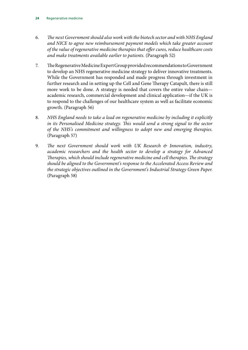- 6. *The next Government should also work with the biotech sector and with NHS England and NICE to agree new reimbursement payment models which take greater account of the value of regenerative medicine therapies that offer cures, reduce healthcare costs and make treatments available earlier to patients.* (Paragraph 52)
- 7. The Regenerative Medicine Expert Group provided recommendations to Government to develop an NHS regenerative medicine strategy to deliver innovative treatments. While the Government has responded and made progress through investment in further research and in setting up the Cell and Gene Therapy Catapult, there is still more work to be done. A strategy is needed that covers the entire value chain academic research, commercial development and clinical application—if the UK is to respond to the challenges of our healthcare system as well as facilitate economic growth. (Paragraph 56)
- 8. *NHS England needs to take a lead on regenerative medicine by including it explicitly in its Personalised Medicine strategy. This would send a strong signal to the sector of the NHS's commitment and willingness to adopt new and emerging therapies*. (Paragraph 57)
- 9. *The next Government should work with UK Research & Innovation, industry, academic researchers and the health sector to develop a strategy for Advanced Therapies, which should include regenerative medicine and cell therapies. The strategy should be aligned to the Government's response to the Accelerated Access Review and the strategic objectives outlined in the Government's Industrial Strategy Green Paper*. (Paragraph 58)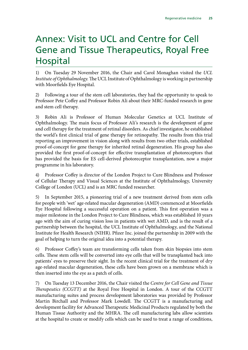## <span id="page-28-0"></span>Annex: Visit to UCL and Centre for Cell Gene and Tissue Therapeutics, Royal Free Hospital

1) On Tuesday 29 November 2016, the Chair and Carol Monaghan visited the *UCL Institute of Ophthalmology.* The UCL Institute of Ophthalmology is working in partnership with Moorfields Eye Hospital.

2) Following a tour of the stem cell laboratories, they had the opportunity to speak to Professor Pete Coffey and Professor Robin Ali about their MRC-funded research in gene and stem cell therapy.

3) Robin Ali is Professor of Human Molecular Genetics at UCL Institute of Ophthalmology. The main focus of Professor Ali's research is the development of gene and cell therapy for the treatment of retinal disorders. As chief investigator, he established the world's first clinical trial of gene therapy for retinopathy. The results from this trial reporting an improvement in vision along with results from two other trials, established proof-of-concept for gene therapy for inherited retinal degeneration. His group has also provided the first proof-of-concept for effective transplantation of photoreceptors that has provided the basis for ES cell-derived photoreceptor transplantation, now a major programme in his laboratory.

4) Professor Coffey is director of the London Project to Cure Blindness and Professor of Cellular Therapy and Visual Sciences at the Institute of Ophthalmology, University College of London (UCL) and is an MRC funded researcher.

5) In September 2015, a pioneering trial of a new treatment derived from stem cells for people with 'wet' age-related macular degeneration (AMD) commenced at Moorfields Eye Hospital following a successful operation on a patient. This first operation was a major milestone in the London Project to Cure Blindness, which was established 10 years ago with the aim of curing vision loss in patients with wet AMD, and is the result of a partnership between the hospital, the UCL Institute of Ophthalmology, and the National Institute for Health Research (NIHR). Pfizer Inc. joined the partnership in 2009 with the goal of helping to turn the original idea into a potential therapy.

6) Professor Coffey's team are transforming cells taken from skin biopsies into stem cells. These stem cells will be converted into eye cells that will be transplanted back into patients' eyes to preserve their sight. In the recent clinical trial for the treatment of dry age-related macular degeneration, these cells have been grown on a membrane which is then inserted into the eye as a patch of cells.

7) On Tuesday 13 December 2016, the Chair visited the *Centre for Cell Gene and Tissue Therapeutics (CCGTT)* at the Royal Free Hospital in London. A tour of the CCGTT manufacturing suites and process development laboratories was provided by Professor Martin Birchall and Professor Mark Lowdell. The CCGTT is a manufacturing and development facility for Advanced Therapeutic Medicinal Products regulated by both the Human Tissue Authority and the MHRA. The cell manufacturing labs allow scientists at the hospital to create or modify cells which can be used to treat a range of conditions,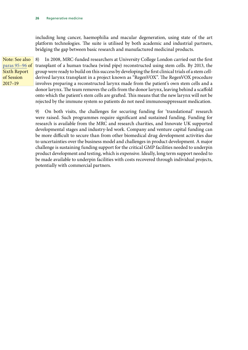including lung cancer, haemophilia and macular degeneration, using state of the art platform technologies. The suite is utilised by both academic and industrial partners, bridging the gap between basic research and manufactured medicinal products.

Note: See also [paras 95–96](https://publications.parliament.uk/pa/cm201719/cmselect/cmsctech/350/350.pdf) of Sixth Report of Session 2017–19

8) In 2008, MRC-funded researchers at University College London carried out the first transplant of a human trachea (wind pipe) reconstructed using stem cells. By 2013, the group were ready to build on this success by developing the first clinical trials of a stem cellderived larynx transplant in a project known as "RegenVOX". The RegenVOX procedure involves preparing a reconstructed larynx made from the patient's own stem cells and a donor larynx. The team removes the cells from the donor larynx, leaving behind a scaffold onto which the patient's stem cells are grafted. This means that the new larynx will not be rejected by the immune system so patients do not need immunosuppressant medication.

9) On both visits, the challenges for securing funding for 'translational' research were raised. Such programmes require significant and sustained funding. Funding for research is available from the MRC and research charities, and Innovate UK supported developmental stages and industry-led work. Company and venture capital funding can be more difficult to secure than from other biomedical drug development activities due to uncertainties over the business model and challenges in product development. A major challenge is sustaining funding support for the critical GMP facilities needed to underpin product development and testing, which is expensive. Ideally, long term support needed to be made available to underpin facilities with costs recovered through individual projects, potentially with commercial partners.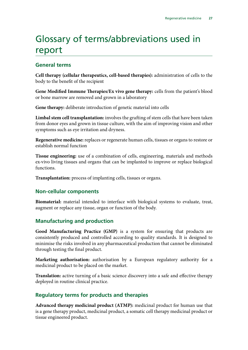# <span id="page-30-0"></span>Glossary of terms/abbreviations used in report

### **General terms**

**Cell therapy (cellular therapeutics, cell-based therapies):** administration of cells to the body to the benefit of the recipient

**Gene Modified Immune Therapies/Ex vivo gene therapy:** cells from the patient's blood or bone marrow are removed and grown in a laboratory

**Gene therapy:** deliberate introduction of genetic material into cells

**Limbal stem cell transplantation:** involves the grafting of stem cells that have been taken from donor eyes and grown in tissue culture, with the aim of improving vision and other symptoms such as eye irritation and dryness.

**Regenerative medicine:** replaces or regenerate human cells, tissues or organs to restore or establish normal function

**Tissue engineering:** use of a combination of cells, engineering, materials and methods ex-vivo living tissues and organs that can be implanted to improve or replace biological functions.

**Transplantation:** process of implanting cells, tissues or organs.

### **Non-cellular components**

**Biomaterial:** material intended to interface with biological systems to evaluate, treat, augment or replace any tissue, organ or function of the body.

### **Manufacturing and production**

**Good Manufacturing Practice (GMP)** is a system for ensuring that products are consistently produced and controlled according to quality standards. It is designed to minimise the risks involved in any pharmaceutical production that cannot be eliminated through testing the final product.

**Marketing authorisation:** authorisation by a European regulatory authority for a medicinal product to be placed on the market.

**Translation:** active turning of a basic science discovery into a safe and effective therapy deployed in routine clinical practice.

### **Regulatory terms for products and therapies**

**Advanced therapy medicinal product (ATMP):** medicinal product for human use that is a gene therapy product, medicinal product, a somatic cell therapy medicinal product or tissue engineered product.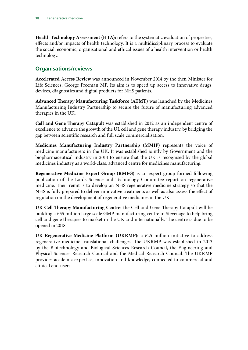**Health Technology Assessment (HTA):** refers to the systematic evaluation of properties, effects and/or impacts of health technology. It is a multidisciplinary process to evaluate the social, economic, organisational and ethical issues of a health intervention or health technology.

### **Organisations/reviews**

**Accelerated Access Review** was announced in November 2014 by the then Minister for Life Sciences, George Freeman MP. Its aim is to speed up access to innovative drugs, devices, diagnostics and digital products for NHS patients.

**Advanced Therapy Manufacturing Taskforce (ATMT)** was launched by the Medicines Manufacturing Industry Partnership to secure the future of manufacturing advanced therapies in the UK.

**Cell and Gene Therapy Catapult** was established in 2012 as an independent centre of excellence to advance the growth of the UL cell and gene therapy industry, by bridging the gap between scientific research and full scale commercialisation.

**Medicines Manufacturing Industry Partnership (MMIP)** represents the voice of medicine manufacturers in the UK. It was established jointly by Government and the biopharmaceutical industry in 2014 to ensure that the UK is recognised by the global medicines industry as a world-class, advanced centre for medicines manufacturing.

**Regenerative Medicine Expert Group (RMEG)** is an expert group formed following publication of the Lords Science and Technology Committee report on regenerative medicine. Their remit is to develop an NHS regenerative medicine strategy so that the NHS is fully prepared to deliver innovative treatments as well as also assess the effect of regulation on the development of regenerative medicines in the UK.

**UK Cell Therapy Manufacturing Centre:** the Cell and Gene Therapy Catapult will be building a £55 million large scale GMP manufacturing centre in Stevenage to help bring cell and gene therapies to market in the UK and internationally. The centre is due to be opened in 2018.

**UK Regenerative Medicine Platform (UKRMP):** a £25 million initiative to address regenerative medicine translational challenges. The UKRMP was established in 2013 by the Biotechnology and Biological Sciences Research Council, the Engineering and Physical Sciences Research Council and the Medical Research Council. The UKRMP provides academic expertise, innovation and knowledge, connected to commercial and clinical end-users.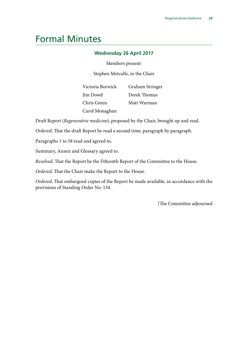## <span id="page-32-0"></span>Formal Minutes

#### **Wednesday 26 April 2017**

Members present:

Stephen Metcalfe, in the Chair

Victoria Borwick Jim Dowd Chris Green Carol Monaghan Graham Stringer Derek Thomas Matt Warman

Draft Report (*Regenerative medicine*), proposed by the Chair, brought up and read.

*Ordered*, That the draft Report be read a second time, paragraph by paragraph.

Paragraphs 1 to 58 read and agreed to.

Summary, Annex and Glossary agreed to.

*Resolved*, That the Report be the Fifteenth Report of the Committee to the House.

*Ordered*, That the Chair make the Report to the House.

*Ordered*, That embargoed copies of the Report be made available, in accordance with the provisions of Standing Order No. 134.

[The Committee adjourned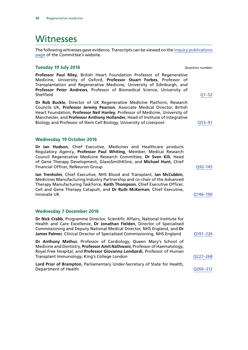### <span id="page-33-0"></span>**Witnesses**

The following witnesses gave evidence. Transcripts can be viewed on the [inquiry publications](http://www.parliament.uk/business/committees/committees-a-z/commons-select/science-and-technology-committee/inquiries/parliament-2015/regenerative-medicine-inquiry-15-16/publications/) [page](http://www.parliament.uk/business/committees/committees-a-z/commons-select/science-and-technology-committee/inquiries/parliament-2015/regenerative-medicine-inquiry-15-16/publications/) of the Committee's website.

#### **Tuesday 19 July 2016** *Question number*

**Professor Paul Riley**, British Heart Foundation Professor of Regenerative Medicine, University of Oxford, **Professor Stuart Forbes**, Professor of Transplantation and Regenerative Medicine, University of Edinburgh, and **Professor Peter Andrews**, Professor of Biomedical Science, University of Sheffield [Q1–52](http://data.parliament.uk/writtenevidence/committeeevidence.svc/evidencedocument/science-and-technology-committee/regenerative-medicine/oral/35376.pdf)

**Dr Rob Buckle**, Director of UK Regenerative Medicine Platform, Research Councils UK, **Professor Jeremy Pearson**, Associate Medical Director, British Heart Foundation, **Professor Neil Hanley**, Professor of Medicine, University of Manchester, and **Professor Anthony Hollander**, Head of Institute of Integrative Biology and Professor of Stem Cell Biology, University of Liverpool Q53–91

#### **Wednesday 19 October 2016**

**Dr Ian Hudson**, Chief Executive, Medicines and Healthcare products Regulatory Agency, **Professor Paul Whiting**, Member, Medical Research Council Regenerative Medicine Research Committee, **Dr Sven Kili**, Head of Gene Therapy Development, GlaxoSmithKline, and **Michael Hunt**, Chief Financial Officer, ReNeuron Group Communication Communication COS-145

**Ian Trenholm**, Chief Executive, NHS Blood and Transplant, **Ian McCubbin**, Medicines Manufacturing Industry Partnership and co-chair of the Advanced Therapy Manufacturing Taskforce, **Keith Thompson**, Chief Executive Officer, Cell and Gene Therapy Catapult, and **Dr Ruth McKernan**, Chief Executive, Innovate UK Q146–190

#### **Wednesday 7 December 2016**

**Dr Nick Crabb**, Programme Director, Scientific Affairs, National Institute for Health and Care Excellence, **Dr Jonathan Fielden**, Director of Specialised Commissioning and Deputy National Medical Director, NHS England, and **Dr James Palmer, Clinical Director of Specialised Commissioning, NHS England Q191-226 Dr Anthony Mathur**, Professor of Cardiology, Queen Mary's School of Medicine and Dentistry, **Professor Amit Nathwani**, Professor of Haematology, Royal Free Hospital, and **Professor Giovanna Lombardi**, Professor of Human Transplant Immunology, King's College London Q227–268 **Lord Prior of Brampton**, Parliamentary Under-Secretary of State for Health,

Department of Health Q269–312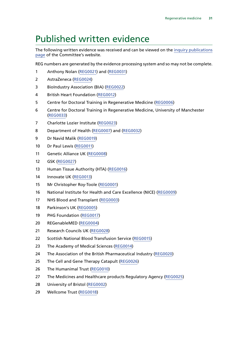# <span id="page-34-0"></span>Published written evidence

The following written evidence was received and can be viewed on the [inquiry publications](http://www.parliament.uk/business/committees/committees-a-z/commons-select/science-and-technology-committee/inquiries/parliament-2015/regenerative-medicine-inquiry-15-16/publications/) [page](http://www.parliament.uk/business/committees/committees-a-z/commons-select/science-and-technology-committee/inquiries/parliament-2015/regenerative-medicine-inquiry-15-16/publications/) of the Committee's website.

REG numbers are generated by the evidence processing system and so may not be complete.

- Anthony Nolan ([REG0021](http://data.parliament.uk/WrittenEvidence/CommitteeEvidence.svc/EvidenceDocument/Science%20and%20Technology/Regenerative%20medicine/written/33958.html)) and [\(REG0031](http://data.parliament.uk/WrittenEvidence/CommitteeEvidence.svc/EvidenceDocument/Science%20and%20Technology/Regenerative%20medicine/written/43980.html))
- AstraZeneca ([REG0024\)](http://data.parliament.uk/WrittenEvidence/CommitteeEvidence.svc/EvidenceDocument/Science%20and%20Technology/Regenerative%20medicine/written/33967.html)
- BioIndustry Association (BIA) [\(REG0022](http://data.parliament.uk/WrittenEvidence/CommitteeEvidence.svc/EvidenceDocument/Science%20and%20Technology/Regenerative%20medicine/written/33962.html))
- British Heart Foundation [\(REG0012\)](http://data.parliament.uk/WrittenEvidence/CommitteeEvidence.svc/EvidenceDocument/Science%20and%20Technology/Regenerative%20medicine/written/33911.html)
- Centre for Doctoral Training in Regenerative Medicine ([REG0006\)](http://data.parliament.uk/WrittenEvidence/CommitteeEvidence.svc/EvidenceDocument/Science%20and%20Technology/Regenerative%20medicine/written/33863.html)
- Centre for Doctoral Training in Regenerative Medicine, University of Manchester ([REG0033\)](http://data.parliament.uk/writtenevidence/committeeevidence.svc/evidencedocument/science-and-technology-committee/regenerative-medicine/written/48071.html)
- Charlotte Lozier Institute ([REG0023\)](http://data.parliament.uk/WrittenEvidence/CommitteeEvidence.svc/EvidenceDocument/Science%20and%20Technology/Regenerative%20medicine/written/33965.html)
- Department of Health ([REG0007](http://data.parliament.uk/WrittenEvidence/CommitteeEvidence.svc/EvidenceDocument/Science%20and%20Technology/Regenerative%20medicine/written/33870.html)) and [\(REG0032\)](http://data.parliament.uk/WrittenEvidence/CommitteeEvidence.svc/EvidenceDocument/Science%20and%20Technology/Regenerative%20medicine/written/44711.html)
- Dr Navid Malik ([REG0019\)](http://data.parliament.uk/WrittenEvidence/CommitteeEvidence.svc/EvidenceDocument/Science%20and%20Technology/Regenerative%20medicine/written/33956.html)
- Dr Paul Lewis ([REG0011\)](http://data.parliament.uk/WrittenEvidence/CommitteeEvidence.svc/EvidenceDocument/Science%20and%20Technology/Regenerative%20medicine/written/33898.html)
- Genetic Alliance UK ([REG0008\)](http://data.parliament.uk/WrittenEvidence/CommitteeEvidence.svc/EvidenceDocument/Science%20and%20Technology/Regenerative%20medicine/written/33879.html)
- GSK [\(REG0027\)](http://data.parliament.uk/WrittenEvidence/CommitteeEvidence.svc/EvidenceDocument/Science%20and%20Technology/Regenerative%20medicine/written/34101.html)
- Human Tissue Authority (HTA) ([REG0016\)](http://data.parliament.uk/WrittenEvidence/CommitteeEvidence.svc/EvidenceDocument/Science%20and%20Technology/Regenerative%20medicine/written/33943.html)
- Innovate UK [\(REG0013\)](http://data.parliament.uk/WrittenEvidence/CommitteeEvidence.svc/EvidenceDocument/Science%20and%20Technology/Regenerative%20medicine/written/33920.html)
- Mr Christopher Roy-Toole [\(REG0001](http://data.parliament.uk/WrittenEvidence/CommitteeEvidence.svc/EvidenceDocument/Science%20and%20Technology/Regenerative%20medicine/written/33193.html))
- National Institute for Health and Care Excellence (NICE) [\(REG0009\)](http://data.parliament.uk/WrittenEvidence/CommitteeEvidence.svc/EvidenceDocument/Science%20and%20Technology/Regenerative%20medicine/written/33887.html)
- NHS Blood and Transplant ([REG0003](http://data.parliament.uk/WrittenEvidence/CommitteeEvidence.svc/EvidenceDocument/Science%20and%20Technology/Regenerative%20medicine/written/33746.html))
- Parkinson's UK [\(REG0005](http://data.parliament.uk/WrittenEvidence/CommitteeEvidence.svc/EvidenceDocument/Science%20and%20Technology/Regenerative%20medicine/written/33770.html))
- PHG Foundation [\(REG0017](http://data.parliament.uk/WrittenEvidence/CommitteeEvidence.svc/EvidenceDocument/Science%20and%20Technology/Regenerative%20medicine/written/33944.html))
- REGenableMED ([REG0004](http://data.parliament.uk/WrittenEvidence/CommitteeEvidence.svc/EvidenceDocument/Science%20and%20Technology/Regenerative%20medicine/written/33760.html))
- Research Councils UK ([REG0028](http://data.parliament.uk/WrittenEvidence/CommitteeEvidence.svc/EvidenceDocument/Science%20and%20Technology/Regenerative%20medicine/written/34278.html))
- Scottish National Blood Transfusion Service [\(REG0015\)](http://data.parliament.uk/WrittenEvidence/CommitteeEvidence.svc/EvidenceDocument/Science%20and%20Technology/Regenerative%20medicine/written/33939.html)
- The Academy of Medical Sciences [\(REG0014\)](http://data.parliament.uk/WrittenEvidence/CommitteeEvidence.svc/EvidenceDocument/Science%20and%20Technology/Regenerative%20medicine/written/33924.html)
- The Association of the British Pharmaceutical Industry [\(REG0020\)](http://data.parliament.uk/WrittenEvidence/CommitteeEvidence.svc/EvidenceDocument/Science%20and%20Technology/Regenerative%20medicine/written/33957.html)
- The Cell and Gene Therapy Catapult ([REG0026](http://data.parliament.uk/WrittenEvidence/CommitteeEvidence.svc/EvidenceDocument/Science%20and%20Technology/Regenerative%20medicine/written/34007.html))
- The Humanimal Trust [\(REG0010](http://data.parliament.uk/WrittenEvidence/CommitteeEvidence.svc/EvidenceDocument/Science%20and%20Technology/Regenerative%20medicine/written/33894.html))
- 27 The Medicines and Healthcare products Regulatory Agency [\(REG0025\)](http://data.parliament.uk/WrittenEvidence/CommitteeEvidence.svc/EvidenceDocument/Science%20and%20Technology/Regenerative%20medicine/written/33970.html)
- University of Bristol [\(REG0002\)](http://data.parliament.uk/WrittenEvidence/CommitteeEvidence.svc/EvidenceDocument/Science%20and%20Technology/Regenerative%20medicine/written/33446.html)
- Wellcome Trust [\(REG0018](http://data.parliament.uk/WrittenEvidence/CommitteeEvidence.svc/EvidenceDocument/Science%20and%20Technology/Regenerative%20medicine/written/33945.html))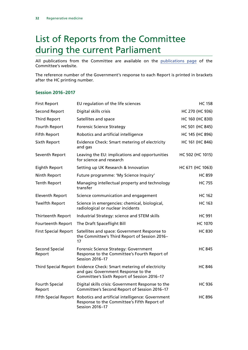# <span id="page-35-0"></span>List of Reports from the Committee during the current Parliament

All publications from the Committee are available on the [publications page](http://www.parliament.uk/business/committees/committees-a-z/commons-select/science-and-technology-committee/publications/) of the Committee's website.

The reference number of the Government's response to each Report is printed in brackets after the HC printing number.

#### **Session 2016–2017**

| <b>First Report</b>             | EU regulation of the life sciences                                                                                                                       | <b>HC 158</b>    |
|---------------------------------|----------------------------------------------------------------------------------------------------------------------------------------------------------|------------------|
| <b>Second Report</b>            | Digital skills crisis                                                                                                                                    | HC 270 (HC 936)  |
| <b>Third Report</b>             | Satellites and space                                                                                                                                     | HC 160 (HC 830)  |
| Fourth Report                   | <b>Forensic Science Strategy</b>                                                                                                                         | HC 501 (HC 845)  |
| <b>Fifth Report</b>             | Robotics and artificial intelligence                                                                                                                     | HC 145 (HC 896)  |
| Sixth Report                    | Evidence Check: Smart metering of electricity<br>and gas                                                                                                 | HC 161 (HC 846)  |
| Seventh Report                  | Leaving the EU: implications and opportunities<br>for science and research                                                                               | HC 502 (HC 1015) |
| Eighth Report                   | Setting up UK Research & Innovation                                                                                                                      | HC 671 (HC 1063) |
| Ninth Report                    | Future programme: 'My Science Inquiry'                                                                                                                   | <b>HC 859</b>    |
| <b>Tenth Report</b>             | Managing intellectual property and technology<br>transfer                                                                                                | <b>HC 755</b>    |
| <b>Eleventh Report</b>          | Science communication and engagement                                                                                                                     | <b>HC 162</b>    |
| <b>Twelfth Report</b>           | Science in emergencies: chemical, biological,<br>radiological or nuclear incidents                                                                       | <b>HC 163</b>    |
| Thirteenth Report               | Industrial Strategy: science and STEM skills                                                                                                             | <b>HC 991</b>    |
| Fourteenth Report               | The Draft Spaceflight Bill                                                                                                                               | <b>HC 1070</b>   |
| <b>First Special Report</b>     | Satellites and space: Government Response to<br>the Committee's Third Report of Session 2016-<br>17                                                      | <b>HC 830</b>    |
| <b>Second Special</b><br>Report | Forensic Science Strategy: Government<br>Response to the Committee's Fourth Report of<br>Session 2016-17                                                 | <b>HC 845</b>    |
|                                 | Third Special Report Evidence Check: Smart metering of electricity<br>and gas: Government Response to the<br>Committee's Sixth Report of Session 2016-17 | <b>HC 846</b>    |
| Fourth Special<br>Report        | Digital skills crisis: Government Response to the<br>Committee's Second Report of Session 2016-17                                                        | <b>HC 936</b>    |
|                                 | Fifth Special Report Robotics and artificial intelligence: Government<br>Response to the Committee's Fifth Report of<br>Session 2016-17                  | <b>HC 896</b>    |